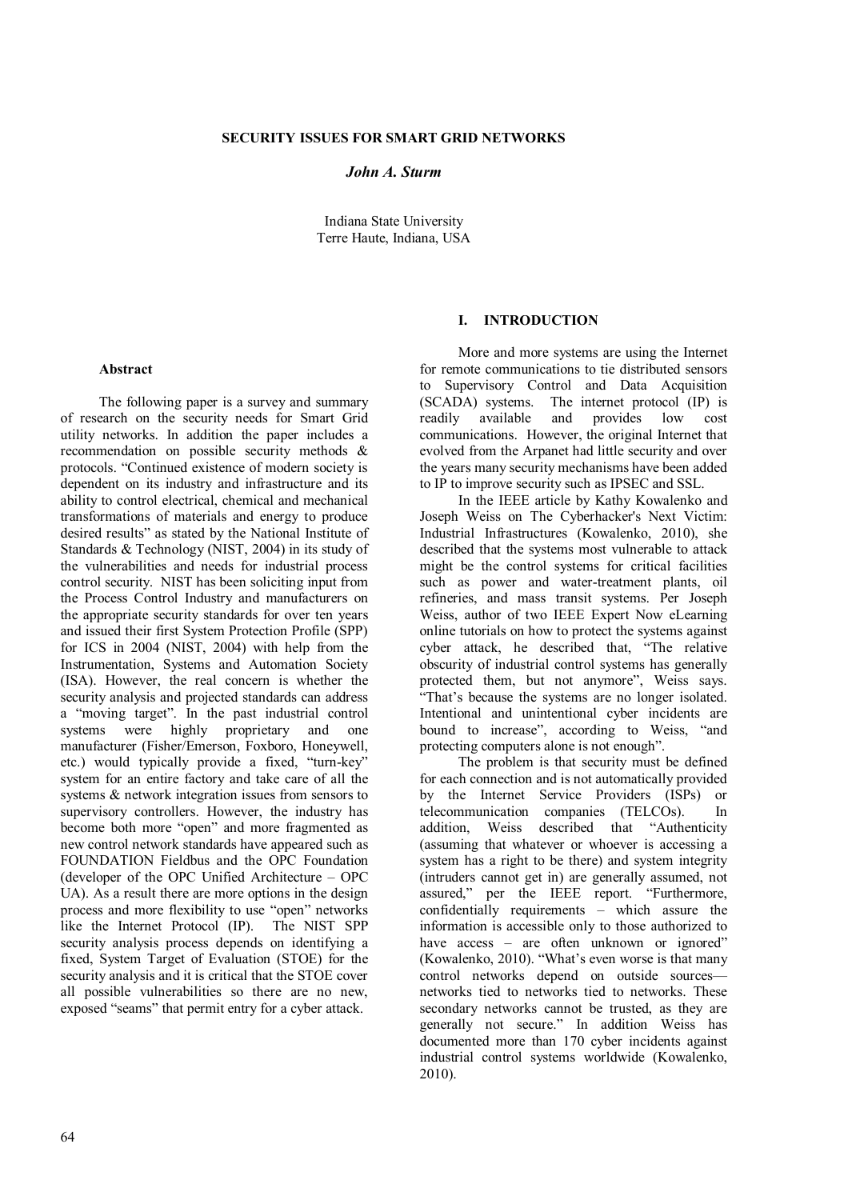### **SECURITY ISSUES FOR SMART GRID NETWORKS**

## *John A. Sturm*

Indiana State University Terre Haute, Indiana, USA

#### **Abstract**

The following paper is a survey and summary of research on the security needs for Smart Grid utility networks. In addition the paper includes a recommendation on possible security methods & protocols. "Continued existence of modern society is dependent on its industry and infrastructure and its ability to control electrical, chemical and mechanical transformations of materials and energy to produce desired results" as stated by the National Institute of Standards & Technology (NIST, 2004) in its study of the vulnerabilities and needs for industrial process control security. NIST has been soliciting input from the Process Control Industry and manufacturers on the appropriate security standards for over ten years and issued their first System Protection Profile (SPP) for ICS in 2004 (NIST, 2004) with help from the Instrumentation, Systems and Automation Society (ISA). However, the real concern is whether the security analysis and projected standards can address a "moving target". In the past industrial control<br>systems were highly proprietary and one were highly proprietary and manufacturer (Fisher/Emerson, Foxboro, Honeywell, etc.) would typically provide a fixed, "turn-key" system for an entire factory and take care of all the systems & network integration issues from sensors to supervisory controllers. However, the industry has become both more "open" and more fragmented as new control network standards have appeared such as FOUNDATION Fieldbus and the OPC Foundation (developer of the OPC Unified Architecture – OPC UA). As a result there are more options in the design process and more flexibility to use "open" networks like the Internet Protocol (IP). The NIST SPP security analysis process depends on identifying a fixed, System Target of Evaluation (STOE) for the security analysis and it is critical that the STOE cover all possible vulnerabilities so there are no new, exposed "seams" that permit entry for a cyber attack.

### **I. INTRODUCTION**

More and more systems are using the Internet for remote communications to tie distributed sensors to Supervisory Control and Data Acquisition (SCADA) systems. The internet protocol (IP) is readily available and provides low cost communications. However, the original Internet that evolved from the Arpanet had little security and over the years many security mechanisms have been added to IP to improve security such as IPSEC and SSL.

In the IEEE article by Kathy Kowalenko and Joseph Weiss on The Cyberhacker's Next Victim: Industrial Infrastructures (Kowalenko, 2010), she described that the systems most vulnerable to attack might be the control systems for critical facilities such as power and water-treatment plants, oil refineries, and mass transit systems. Per Joseph Weiss, author of two IEEE Expert Now eLearning online tutorials on how to protect the systems against cyber attack, he described that, "The relative obscurity of industrial control systems has generally protected them, but not anymore", Weiss says. "That's because the systems are no longer isolated. Intentional and unintentional cyber incidents are bound to increase", according to Weiss, "and protecting computers alone is not enough".

The problem is that security must be defined for each connection and is not automatically provided by the Internet Service Providers (ISPs) or telecommunication companies (TELCOs). In addition, Weiss described that "Authenticity (assuming that whatever or whoever is accessing a system has a right to be there) and system integrity (intruders cannot get in) are generally assumed, not assured," per the IEEE report. "Furthermore, confidentially requirements – which assure the information is accessible only to those authorized to have access – are often unknown or ignored" (Kowalenko, 2010). "What's even worse is that many control networks depend on outside sources networks tied to networks tied to networks. These secondary networks cannot be trusted, as they are generally not secure." In addition Weiss has documented more than 170 cyber incidents against industrial control systems worldwide (Kowalenko, 2010).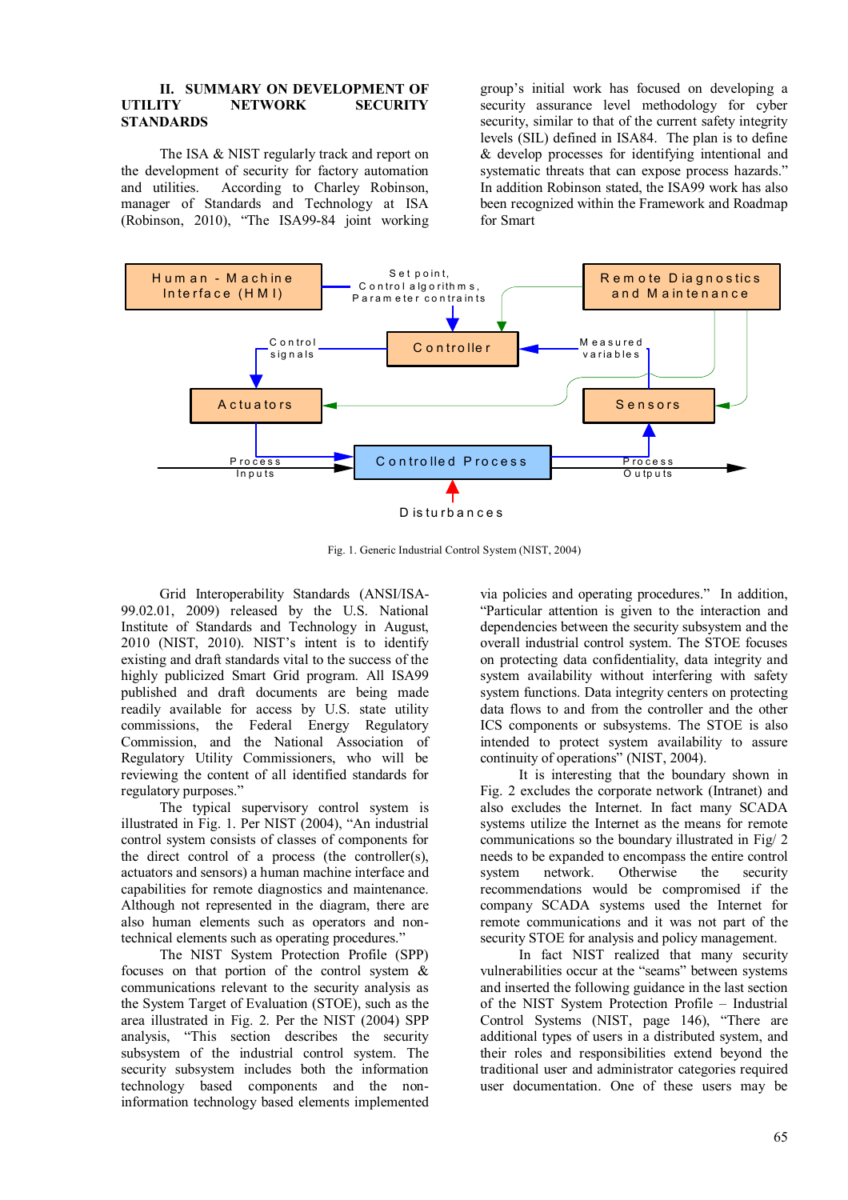### **II. SUMMARY ON DEVELOPMENT OF<br>IITILITY METWORK SECURITY NETWORK STANDARDS**

The ISA & NIST regularly track and report on the development of security for factory automation and utilities. According to Charley Robinson, manager of Standards and Technology at ISA (Robinson, 2010), "The ISA99-84 joint working

group's initial work has focused on developing a security assurance level methodology for cyber security, similar to that of the current safety integrity levels (SIL) defined in ISA84. The plan is to define & develop processes for identifying intentional and systematic threats that can expose process hazards." In addition Robinson stated, the ISA99 work has also been recognized within the Framework and Roadmap for Smart



Fig. 1. Generic Industrial Control System (NIST, 2004)

Grid Interoperability Standards (ANSI/ISA-99.02.01, 2009) released by the U.S. National Institute of Standards and Technology in August, 2010 (NIST, 2010). NIST's intent is to identify existing and draft standards vital to the success of the highly publicized Smart Grid program. All ISA99 published and draft documents are being made readily available for access by U.S. state utility commissions, the Federal Energy Regulatory Commission, and the National Association of Regulatory Utility Commissioners, who will be reviewing the content of all identified standards for regulatory purposes."

The typical supervisory control system is illustrated in Fig. 1. Per NIST (2004), "An industrial control system consists of classes of components for the direct control of a process (the controller(s), actuators and sensors) a human machine interface and capabilities for remote diagnostics and maintenance. Although not represented in the diagram, there are also human elements such as operators and nontechnical elements such as operating procedures."

The NIST System Protection Profile (SPP) focuses on that portion of the control system & communications relevant to the security analysis as the System Target of Evaluation (STOE), such as the area illustrated in Fig. 2. Per the NIST (2004) SPP analysis, "This section describes the security subsystem of the industrial control system. The security subsystem includes both the information technology based components and the noninformation technology based elements implemented

via policies and operating procedures." In addition, "Particular attention is given to the interaction and dependencies between the security subsystem and the overall industrial control system. The STOE focuses on protecting data confidentiality, data integrity and system availability without interfering with safety system functions. Data integrity centers on protecting data flows to and from the controller and the other ICS components or subsystems. The STOE is also intended to protect system availability to assure continuity of operations" (NIST, 2004).

It is interesting that the boundary shown in Fig. 2 excludes the corporate network (Intranet) and also excludes the Internet. In fact many SCADA systems utilize the Internet as the means for remote communications so the boundary illustrated in Fig/ 2 needs to be expanded to encompass the entire control system network. Otherwise the security recommendations would be compromised if the company SCADA systems used the Internet for remote communications and it was not part of the security STOE for analysis and policy management.

In fact NIST realized that many security vulnerabilities occur at the "seams" between systems and inserted the following guidance in the last section of the NIST System Protection Profile – Industrial Control Systems (NIST, page 146), "There are additional types of users in a distributed system, and their roles and responsibilities extend beyond the traditional user and administrator categories required user documentation. One of these users may be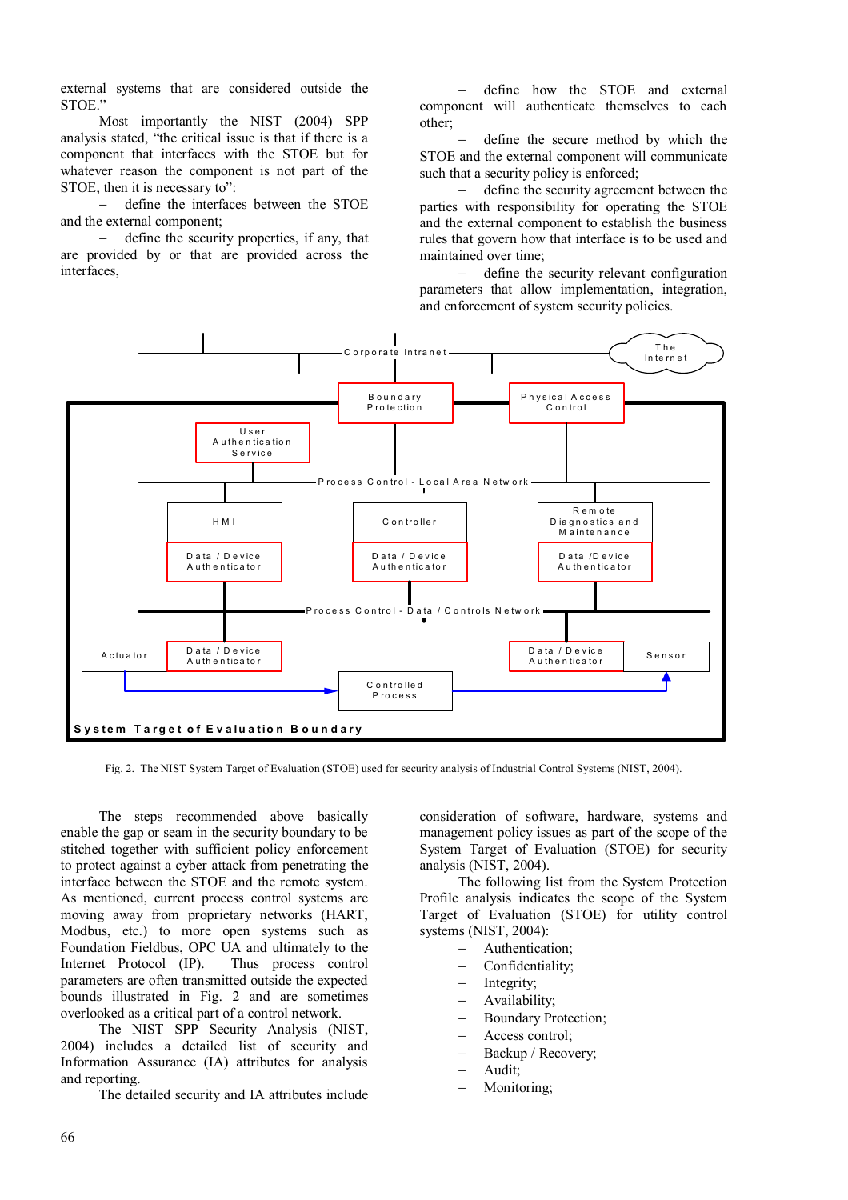external systems that are considered outside the STOE."

Most importantly the NIST (2004) SPP analysis stated, "the critical issue is that if there is a component that interfaces with the STOE but for whatever reason the component is not part of the STOE, then it is necessary to":

 define the interfaces between the STOE and the external component;

 define the security properties, if any, that are provided by or that are provided across the interfaces,

 define how the STOE and external component will authenticate themselves to each other;

 define the secure method by which the STOE and the external component will communicate such that a security policy is enforced;

 define the security agreement between the parties with responsibility for operating the STOE and the external component to establish the business rules that govern how that interface is to be used and maintained over time;

 define the security relevant configuration parameters that allow implementation, integration, and enforcement of system security policies.



Fig. 2. The NIST System Target of Evaluation (STOE) used for security analysis of Industrial Control Systems (NIST, 2004).

The steps recommended above basically enable the gap or seam in the security boundary to be stitched together with sufficient policy enforcement to protect against a cyber attack from penetrating the interface between the STOE and the remote system. As mentioned, current process control systems are moving away from proprietary networks (HART, Modbus, etc.) to more open systems such as Foundation Fieldbus, OPC UA and ultimately to the Internet Protocol (IP). Thus process control parameters are often transmitted outside the expected bounds illustrated in Fig. 2 and are sometimes overlooked as a critical part of a control network.

The NIST SPP Security Analysis (NIST, 2004) includes a detailed list of security and Information Assurance (IA) attributes for analysis and reporting.

The detailed security and IA attributes include

consideration of software, hardware, systems and management policy issues as part of the scope of the System Target of Evaluation (STOE) for security analysis (NIST, 2004).

The following list from the System Protection Profile analysis indicates the scope of the System Target of Evaluation (STOE) for utility control systems (NIST, 2004):

- Authentication;
- Confidentiality;
- Integrity;
- Availability;
- Boundary Protection;
- Access control;
- Backup / Recovery;
- Audit;
- Monitoring;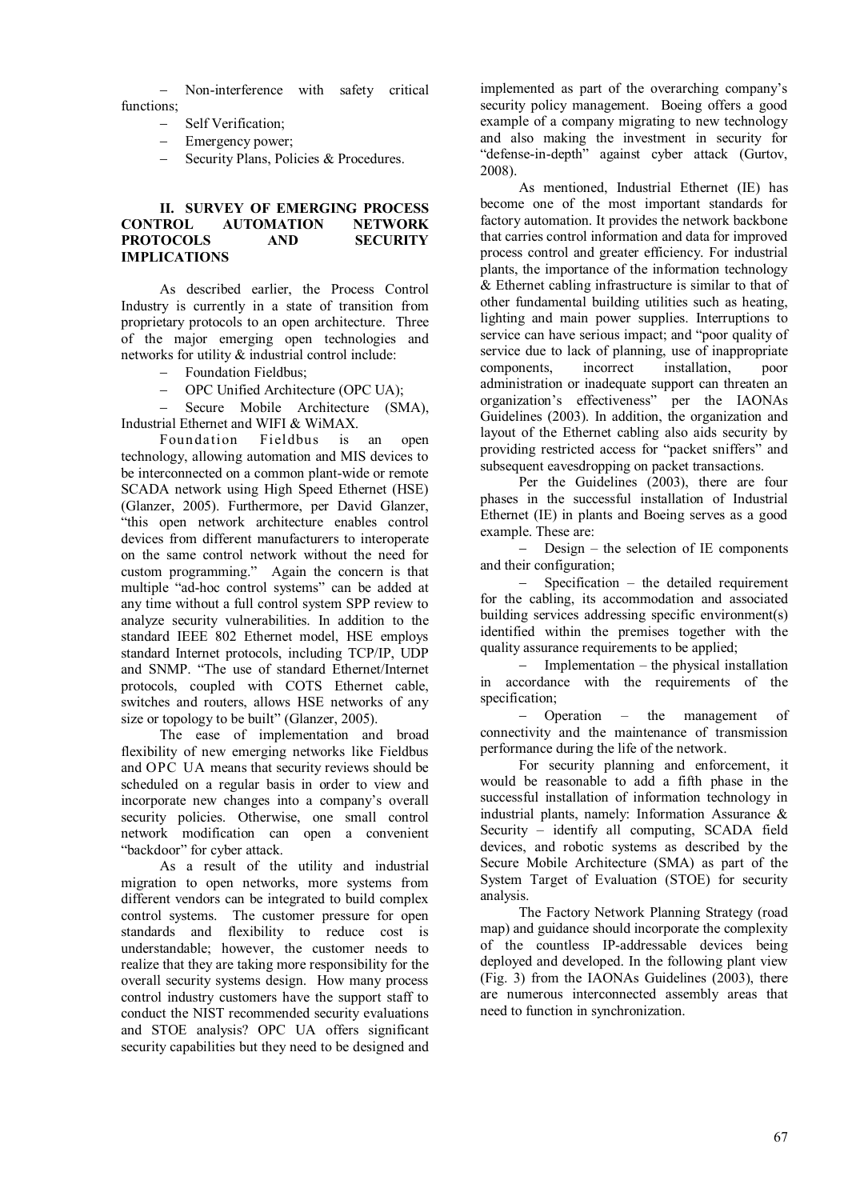Non-interference with safety critical functions;

- Self Verification;
- Emergency power;
- Security Plans, Policies & Procedures.

# **II. SURVEY OF EMERGING PROCESS CONTROL AUTOMATION NETWORK PROTOCOLS AND SECURITY IMPLICATIONS**

As described earlier, the Process Control Industry is currently in a state of transition from proprietary protocols to an open architecture. Three of the major emerging open technologies and networks for utility & industrial control include:

- Foundation Fieldbus:
- OPC Unified Architecture (OPC UA);

 Secure Mobile Architecture (SMA), Industrial Ethernet and WIFI & WiMAX.

Foundation Fieldbus is an open technology, allowing automation and MIS devices to be interconnected on a common plant-wide or remote SCADA network using High Speed Ethernet (HSE) (Glanzer, 2005). Furthermore, per David Glanzer, "this open network architecture enables control devices from different manufacturers to interoperate on the same control network without the need for custom programming." Again the concern is that multiple "ad-hoc control systems" can be added at any time without a full control system SPP review to analyze security vulnerabilities. In addition to the standard IEEE 802 Ethernet model, HSE employs standard Internet protocols, including TCP/IP, UDP and SNMP. "The use of standard Ethernet/Internet protocols, coupled with COTS Ethernet cable, switches and routers, allows HSE networks of any size or topology to be built" (Glanzer, 2005).

The ease of implementation and broad flexibility of new emerging networks like Fieldbus and OPC UA means that security reviews should be scheduled on a regular basis in order to view and incorporate new changes into a company's overall security policies. Otherwise, one small control network modification can open a convenient "backdoor" for cyber attack.

As a result of the utility and industrial migration to open networks, more systems from different vendors can be integrated to build complex control systems. The customer pressure for open standards and flexibility to reduce cost is understandable; however, the customer needs to realize that they are taking more responsibility for the overall security systems design. How many process control industry customers have the support staff to conduct the NIST recommended security evaluations and STOE analysis? OPC UA offers significant security capabilities but they need to be designed and

implemented as part of the overarching company's security policy management. Boeing offers a good example of a company migrating to new technology and also making the investment in security for "defense-in-depth" against cyber attack (Gurtov, 2008).

As mentioned, Industrial Ethernet (IE) has become one of the most important standards for factory automation. It provides the network backbone that carries control information and data for improved process control and greater efficiency. For industrial plants, the importance of the information technology & Ethernet cabling infrastructure is similar to that of other fundamental building utilities such as heating, lighting and main power supplies. Interruptions to service can have serious impact; and "poor quality of service due to lack of planning, use of inappropriate<br>components. incorrect installation. poor components, incorrect installation, poor administration or inadequate support can threaten an organization's effectiveness" per the IAONAs Guidelines (2003). In addition, the organization and layout of the Ethernet cabling also aids security by providing restricted access for "packet sniffers" and subsequent eavesdropping on packet transactions.

Per the Guidelines (2003), there are four phases in the successful installation of Industrial Ethernet (IE) in plants and Boeing serves as a good example. These are:

 Design – the selection of IE components and their configuration;

 Specification – the detailed requirement for the cabling, its accommodation and associated building services addressing specific environment(s) identified within the premises together with the quality assurance requirements to be applied;

 Implementation – the physical installation in accordance with the requirements of the specification;

 Operation – the management of connectivity and the maintenance of transmission performance during the life of the network.

For security planning and enforcement, it would be reasonable to add a fifth phase in the successful installation of information technology in industrial plants, namely: Information Assurance & Security – identify all computing, SCADA field devices, and robotic systems as described by the Secure Mobile Architecture (SMA) as part of the System Target of Evaluation (STOE) for security analysis.

The Factory Network Planning Strategy (road map) and guidance should incorporate the complexity of the countless IP-addressable devices being deployed and developed. In the following plant view  $(Fig. 3)$  from the IAONAs Guidelines (2003), there are numerous interconnected assembly areas that need to function in synchronization.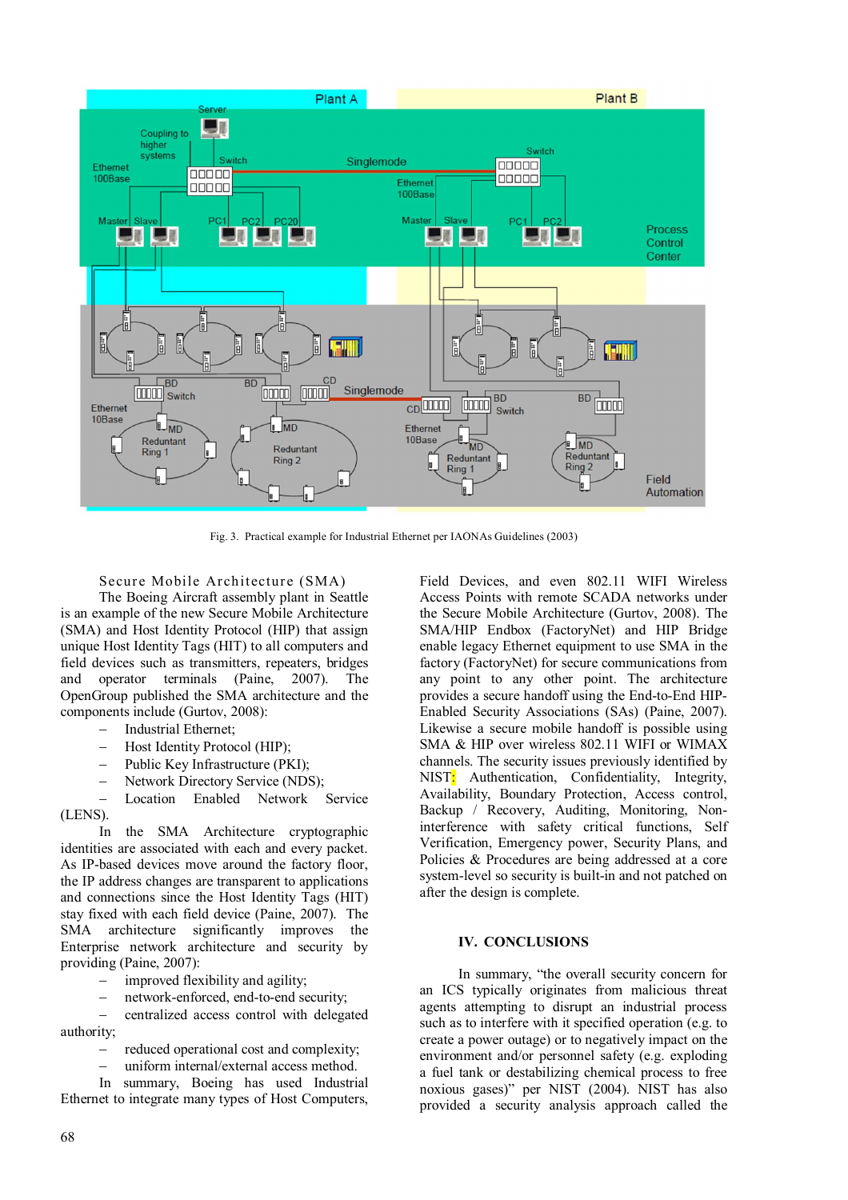

Fig. 3. Practical example for Industrial Ethernet per IAONAs Guidelines (2003)

Secure Mobile Architecture (SMA) The Boeing Aircraft assembly plant in Seattle is an example of the new Secure Mobile Architecture (SMA) and Host Identity Protocol (HIP) that assign unique Host Identity Tags (HIT) to all computers and field devices such as transmitters, repeaters, bridges and operator terminals (Paine, 2007). The OpenGroup published the SMA architecture and the components include (Gurtov, 2008):

- Industrial Ethernet;
- Host Identity Protocol (HIP);
- Public Key Infrastructure (PKI);
- Network Directory Service (NDS);

 Location Enabled Network Service (LENS).

In the SMA Architecture cryptographic identities are associated with each and every packet. As IP-based devices move around the factory floor, the IP address changes are transparent to applications and connections since the Host Identity Tags (HIT) stay fixed with each field device (Paine, 2007). The SMA architecture significantly improves the Enterprise network architecture and security by providing (Paine, 2007):

- improved flexibility and agility;
- network-enforced, end-to-end security;

 centralized access control with delegated authority;

reduced operational cost and complexity;

uniform internal/external access method.

In summary, Boeing has used Industrial Ethernet to integrate many types of Host Computers, Field Devices, and even 802.11 WIFI Wireless Access Points with remote SCADA networks under the Secure Mobile Architecture (Gurtov, 2008). The SMA/HIP Endbox (FactoryNet) and HIP Bridge enable legacy Ethernet equipment to use SMA in the factory (FactoryNet) for secure communications from any point to any other point. The architecture provides a secure handoff using the End-to-End HIP-Enabled Security Associations (SAs) (Paine, 2007). Likewise a secure mobile handoff is possible using SMA & HIP over wireless 802.11 WIFI or WIMAX channels. The security issues previously identified by NIST: Authentication, Confidentiality, Integrity, Availability, Boundary Protection, Access control, Backup / Recovery, Auditing, Monitoring, Noninterference with safety critical functions, Self Verification, Emergency power, Security Plans, and Policies & Procedures are being addressed at a core system-level so security is built-in and not patched on after the design is complete.

## **IV. CONCLUSIONS**

In summary, "the overall security concern for an ICS typically originates from malicious threat agents attempting to disrupt an industrial process such as to interfere with it specified operation (e.g. to create a power outage) or to negatively impact on the environment and/or personnel safety (e.g. exploding a fuel tank or destabilizing chemical process to free noxious gases)" per NIST (2004). NIST has also provided a security analysis approach called the